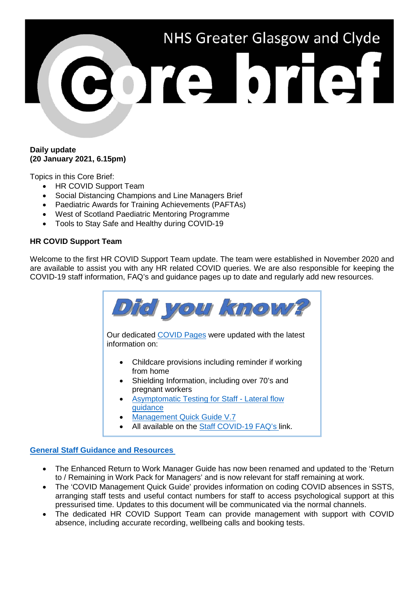

## **Daily update (20 January 2021, 6.15pm)**

Topics in this Core Brief:

- HR COVID Support Team
- Social Distancing Champions and Line Managers Brief
- Paediatric Awards for Training Achievements (PAFTAs)
- West of Scotland Paediatric Mentoring Programme
- Tools to Stay Safe and Healthy during COVID-19

## **HR COVID Support Team**

Welcome to the first HR COVID Support Team update. The team were established in November 2020 and are available to assist you with any HR related COVID queries. We are also responsible for keeping the COVID-19 staff information, FAQ's and guidance pages up to date and regularly add new resources.



- [guidance](https://www.nhsggc.org.uk/your-health/health-issues/covid-19-coronavirus/for-nhsggc-staff/lateral-flow-device-testing-guidance/)
- [Management Quick Guide V.7](https://www.nhsggc.org.uk/your-health/health-issues/covid-19-coronavirus/for-nhsggc-staff/general-staff-guidance-resources/)
- All available on the [Staff COVID-19 FAQ's li](https://www.nhsggc.org.uk/your-health/health-issues/covid-19-coronavirus/for-nhsggc-staff/faqs/)nk.

## **[General Staff Guidance and Resources](https://www.nhsggc.org.uk/your-health/health-issues/covid-19-coronavirus/for-nhsggc-staff/general-staff-guidance-resources/)**

- The Enhanced Return to Work Manager Guide has now been renamed and updated to the 'Return to / Remaining in Work Pack for Managers' and is now relevant for staff remaining at work.
- The 'COVID Management Quick Guide' provides information on coding COVID absences in SSTS, arranging staff tests and useful contact numbers for staff to access psychological support at this pressurised time. Updates to this document will be communicated via the normal channels.
- The dedicated HR COVID Support Team can provide management with support with COVID absence, including accurate recording, wellbeing calls and booking tests.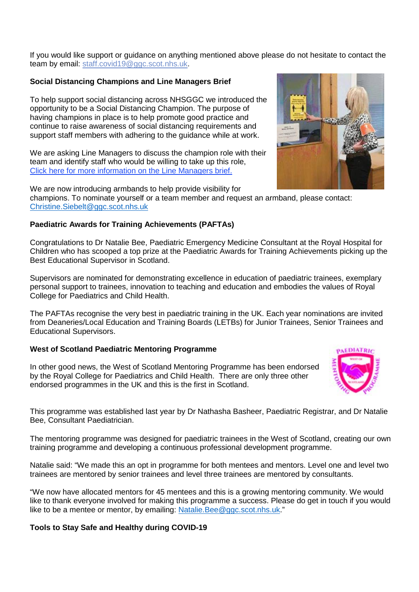If you would like support or guidance on anything mentioned above please do not hesitate to contact the team by email: [staff.covid19@ggc.scot.nhs.uk.](mailto:staff.covid19@ggc.scot.nhs.uk)

## **Social Distancing Champions and Line Managers Brief**

To help support social distancing across NHSGGC we introduced the opportunity to be a Social Distancing Champion. The purpose of having champions in place is to help promote good practice and continue to raise awareness of social distancing requirements and support staff members with adhering to the guidance while at work.

We are asking Line Managers to discuss the champion role with their team and identify staff who would be willing to take up this role, [Click here for more information on the Line Managers brief.](https://www.nhsggc.org.uk/your-health/health-issues/covid-19-coronavirus/for-nhsggc-staff/social-distancing-in-the-workplace/)

We are now introducing armbands to help provide visibility for champions. To nominate yourself or a team member and request an armband, please contact: [Christine.Siebelt@ggc.scot.nhs.uk](mailto:Christine.Siebelt@ggc.scot.nhs.uk)

## **Paediatric Awards for Training Achievements (PAFTAs)**

Congratulations to Dr Natalie Bee, Paediatric Emergency Medicine Consultant at the Royal Hospital for Children who has scooped a top prize at the Paediatric Awards for Training Achievements picking up the Best Educational Supervisor in Scotland.

Supervisors are nominated for demonstrating excellence in education of paediatric trainees, exemplary personal support to trainees, innovation to teaching and education and embodies the values of Royal College for Paediatrics and Child Health.

The PAFTAs recognise the very best in paediatric training in the UK. Each year nominations are invited from Deaneries/Local Education and Training Boards (LETBs) for Junior Trainees, Senior Trainees and Educational Supervisors.

## **West of Scotland Paediatric Mentoring Programme**

In other good news, the West of Scotland Mentoring Programme has been endorsed by the Royal College for Paediatrics and Child Health. There are only three other endorsed programmes in the UK and this is the first in Scotland.

This programme was established last year by Dr Nathasha Basheer, Paediatric Registrar, and Dr Natalie Bee, Consultant Paediatrician.

The mentoring programme was designed for paediatric trainees in the West of Scotland, creating our own training programme and developing a continuous professional development programme.

Natalie said: "We made this an opt in programme for both mentees and mentors. Level one and level two trainees are mentored by senior trainees and level three trainees are mentored by consultants.

"We now have allocated mentors for 45 mentees and this is a growing mentoring community. We would like to thank everyone involved for making this programme a success. Please do get in touch if you would like to be a mentee or mentor, by emailing: [Natalie.Bee@ggc.scot.nhs.uk.](mailto:Natalie.Bee@ggc.scot.nhs.uk)"

## **Tools to Stay Safe and Healthy during COVID-19**